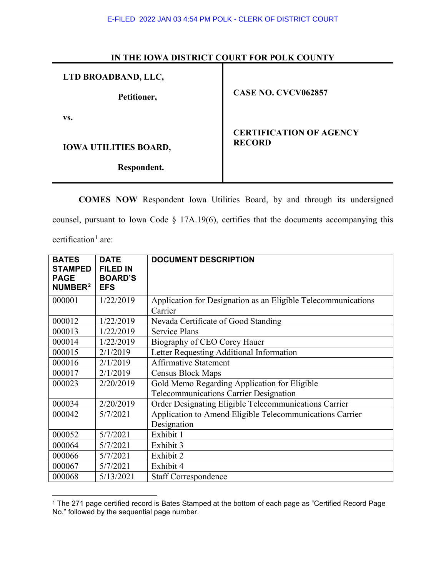## **IN THE IOWA DISTRICT COURT FOR POLK COUNTY**

| LTD BROADBAND, LLC,          |                                                 |  |
|------------------------------|-------------------------------------------------|--|
| Petitioner,                  | <b>CASE NO. CVCV062857</b>                      |  |
| VS.                          |                                                 |  |
| <b>IOWA UTILITIES BOARD,</b> | <b>CERTIFICATION OF AGENCY</b><br><b>RECORD</b> |  |
|                              |                                                 |  |
| Respondent.                  |                                                 |  |

**COMES NOW** Respondent Iowa Utilities Board, by and through its undersigned

counsel, pursuant to Iowa Code § 17A.19(6), certifies that the documents accompanying this

certification<sup>[1](#page-0-0)</sup> are:

| <b>BATES</b><br><b>STAMPED</b><br><b>PAGE</b><br>NUMBER <sup>2</sup> | <b>DATE</b><br><b>FILED IN</b><br><b>BOARD'S</b><br><b>EFS</b> | <b>DOCUMENT DESCRIPTION</b>                                              |
|----------------------------------------------------------------------|----------------------------------------------------------------|--------------------------------------------------------------------------|
| 000001                                                               | 1/22/2019                                                      | Application for Designation as an Eligible Telecommunications<br>Carrier |
| 000012                                                               | 1/22/2019                                                      |                                                                          |
|                                                                      |                                                                | Nevada Certificate of Good Standing                                      |
| 000013                                                               | 1/22/2019                                                      | <b>Service Plans</b>                                                     |
| 000014                                                               | 1/22/2019                                                      | Biography of CEO Corey Hauer                                             |
| 000015                                                               | 2/1/2019                                                       | Letter Requesting Additional Information                                 |
| 000016                                                               | 2/1/2019                                                       | <b>Affirmative Statement</b>                                             |
| 000017                                                               | 2/1/2019                                                       | Census Block Maps                                                        |
| 000023                                                               | 2/20/2019                                                      | Gold Memo Regarding Application for Eligible                             |
|                                                                      |                                                                | <b>Telecommunications Carrier Designation</b>                            |
| 000034                                                               | 2/20/2019                                                      | Order Designating Eligible Telecommunications Carrier                    |
| 000042                                                               | 5/7/2021                                                       | Application to Amend Eligible Telecommunications Carrier                 |
|                                                                      |                                                                | Designation                                                              |
| 000052                                                               | 5/7/2021                                                       | Exhibit 1                                                                |
| 000064                                                               | 5/7/2021                                                       | Exhibit 3                                                                |
| 000066                                                               | 5/7/2021                                                       | Exhibit 2                                                                |
| 000067                                                               | 5/7/2021                                                       | Exhibit 4                                                                |
| 000068                                                               | 5/13/2021                                                      | <b>Staff Correspondence</b>                                              |

<span id="page-0-1"></span><span id="page-0-0"></span><sup>&</sup>lt;sup>1</sup> The 271 page certified record is Bates Stamped at the bottom of each page as "Certified Record Page No." followed by the sequential page number.